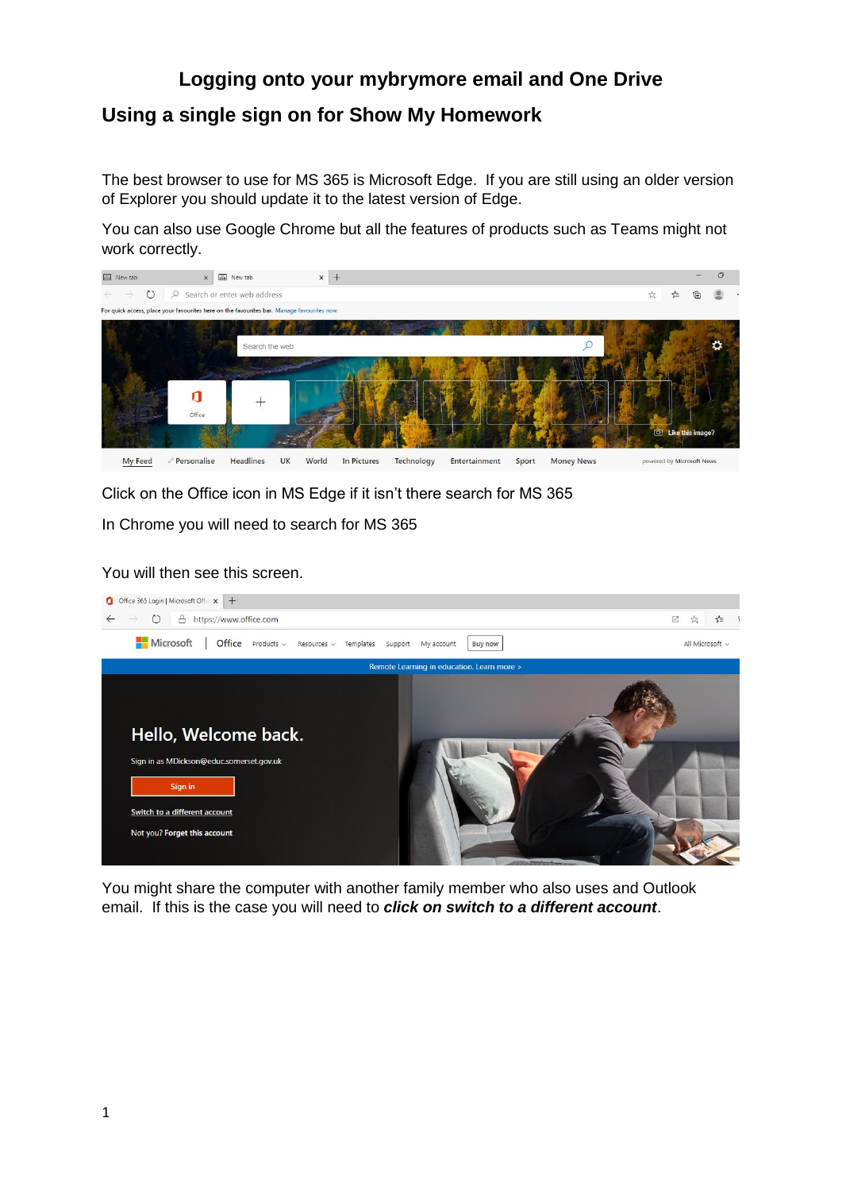## **Logging onto your mybrymore email and One Drive Using a single sign on for Show My Homework**

The best browser to use for MS 365 is Microsoft Edge. If you are still using an older version of Explorer you should update it to the latest version of Edge.

You can also use Google Chrome but all the features of products such as Teams might not work correctly.



Click on the Office icon in MS Edge if it isn't there search for MS 365

In Chrome you will need to search for MS 365

You will then see this screen.



You might share the computer with another family member who also uses and Outlook email. If this is the case you will need to *click on switch to a different account*.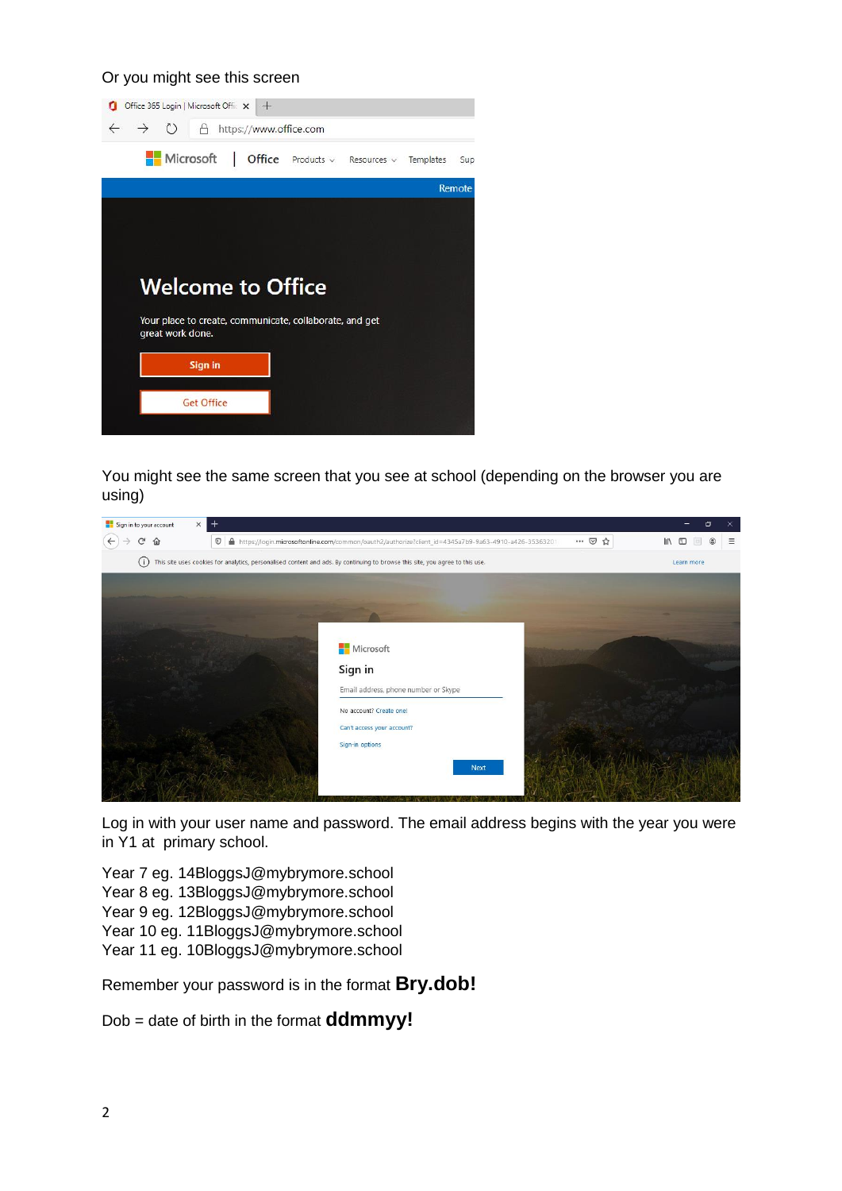## Or you might see this screen



You might see the same screen that you see at school (depending on the browser you are using)



Log in with your user name and password. The email address begins with the year you were in Y1 at primary school.

Year 7 eg. 14BloggsJ@mybrymore.school Year 8 eg. 13BloggsJ@mybrymore.school Year 9 eg. 12BloggsJ@mybrymore.school Year 10 eg. 11BloggsJ@mybrymore.school Year 11 eg. 10BloggsJ@mybrymore.school

Remember your password is in the format **Bry.dob!**

Dob = date of birth in the format **ddmmyy!**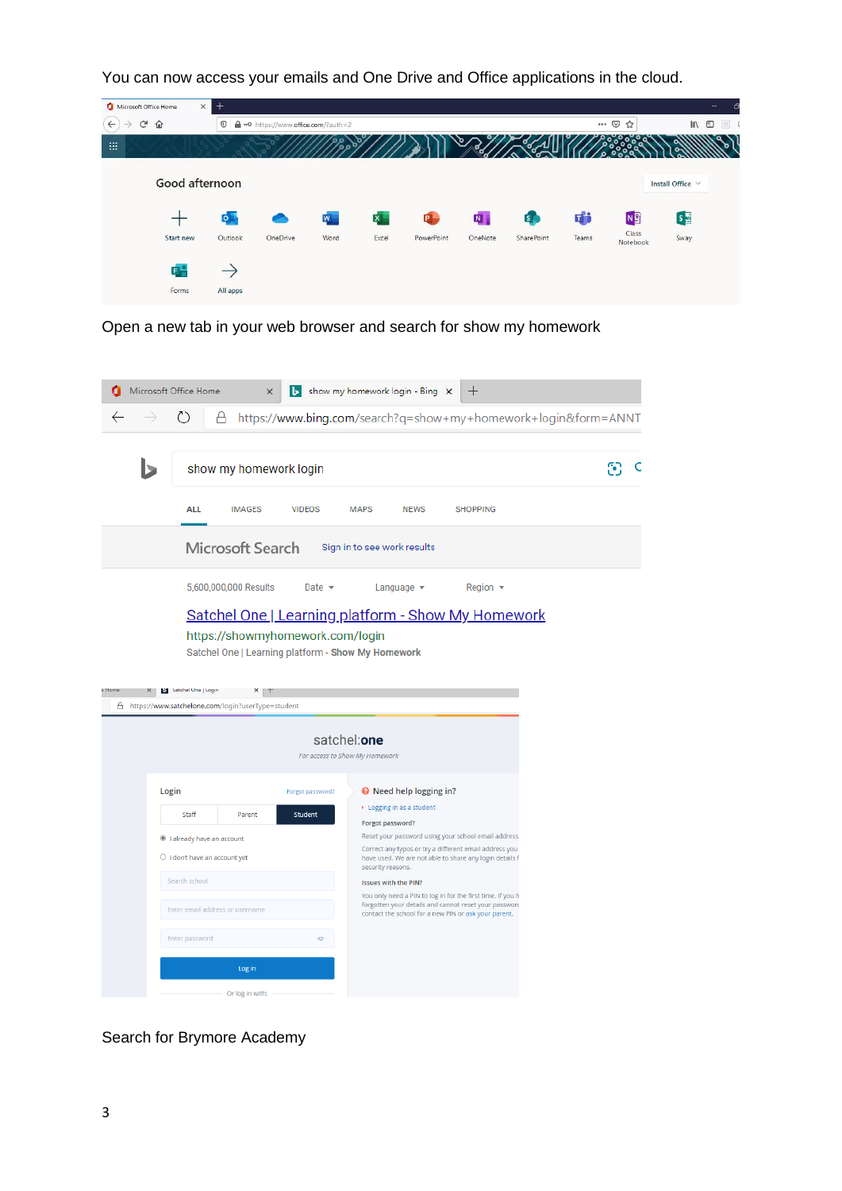You can now access your emails and One Drive and Office applications in the cloud.



Open a new tab in your web browser and search for show my homework

| ረን<br>https://www.bing.com/search?q=show+my+homework+login&form=ANNT<br>А<br>show my homework login<br><b>ALL</b><br><b>MAPS</b><br><b>SHOPPING</b><br><b>IMAGES</b><br><b>VIDEOS</b><br><b>NEWS</b><br>Microsoft Search<br>Sign in to see work results<br>5,600,000,000 Results<br>Date $\sim$<br>Region $\blacktriangledown$<br>Language $\blacktriangledown$<br><b>Satchel One   Learning platform - Show My Homework</b><br>https://showmyhomework.com/login<br>Satchel One   Learning platform - Show My Homework<br>St Satchel Une   Login<br>Home<br>×<br>Ħ<br>A https://www.satchelone.com/login?userType=student<br>satchel:one<br>For access to Show My Homework                                                   |
|------------------------------------------------------------------------------------------------------------------------------------------------------------------------------------------------------------------------------------------------------------------------------------------------------------------------------------------------------------------------------------------------------------------------------------------------------------------------------------------------------------------------------------------------------------------------------------------------------------------------------------------------------------------------------------------------------------------------------|
|                                                                                                                                                                                                                                                                                                                                                                                                                                                                                                                                                                                                                                                                                                                              |
|                                                                                                                                                                                                                                                                                                                                                                                                                                                                                                                                                                                                                                                                                                                              |
|                                                                                                                                                                                                                                                                                                                                                                                                                                                                                                                                                                                                                                                                                                                              |
|                                                                                                                                                                                                                                                                                                                                                                                                                                                                                                                                                                                                                                                                                                                              |
|                                                                                                                                                                                                                                                                                                                                                                                                                                                                                                                                                                                                                                                                                                                              |
|                                                                                                                                                                                                                                                                                                                                                                                                                                                                                                                                                                                                                                                                                                                              |
| Login<br><b>O</b> Need help logging in?<br>Forgot password?<br>▶ Logging in as a student<br>Staff<br>Parent<br><b>Student</b><br>Forgot password?<br>Reset your password using your school email address.<br>lalready have an account<br>Correct any typos or try a different email address you<br>$\bigcirc$ I don't have an account yet<br>have used. We are not able to share any login details f<br>security reasons.<br>Search school<br><b>Issues with the PIN?</b><br>You only need a PIN to log in for the first time. If you h<br>forgotten your details and cannot reset your password<br>Enter email address or username<br>contact the school for a new PIN or ask your parent.<br>Enter password<br>ö<br>Log in |

Search for Brymore Academy